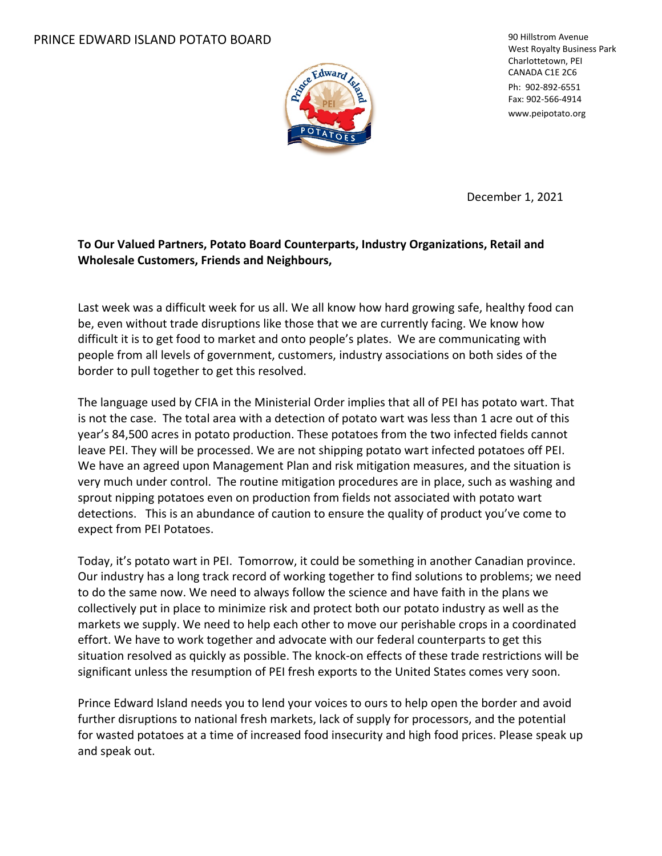

90 Hillstrom Avenue West Royalty Business Park Charlottetown, PEI CANADA C1E 2C6 Ph: 902‐892‐6551 Fax: 902‐566‐4914 www.peipotato.org

 December 1, 2021

## **To Our Valued Partners, Potato Board Counterparts, Industry Organizations, Retail and Wholesale Customers, Friends and Neighbours,**

Last week was a difficult week for us all. We all know how hard growing safe, healthy food can be, even without trade disruptions like those that we are currently facing. We know how difficult it is to get food to market and onto people's plates. We are communicating with people from all levels of government, customers, industry associations on both sides of the border to pull together to get this resolved.

The language used by CFIA in the Ministerial Order implies that all of PEI has potato wart. That is not the case. The total area with a detection of potato wart was less than 1 acre out of this year's 84,500 acres in potato production. These potatoes from the two infected fields cannot leave PEI. They will be processed. We are not shipping potato wart infected potatoes off PEI. We have an agreed upon Management Plan and risk mitigation measures, and the situation is very much under control. The routine mitigation procedures are in place, such as washing and sprout nipping potatoes even on production from fields not associated with potato wart detections. This is an abundance of caution to ensure the quality of product you've come to expect from PEI Potatoes.

Today, it's potato wart in PEI. Tomorrow, it could be something in another Canadian province. Our industry has a long track record of working together to find solutions to problems; we need to do the same now. We need to always follow the science and have faith in the plans we collectively put in place to minimize risk and protect both our potato industry as well as the markets we supply. We need to help each other to move our perishable crops in a coordinated effort. We have to work together and advocate with our federal counterparts to get this situation resolved as quickly as possible. The knock-on effects of these trade restrictions will be significant unless the resumption of PEI fresh exports to the United States comes very soon.

Prince Edward Island needs you to lend your voices to ours to help open the border and avoid further disruptions to national fresh markets, lack of supply for processors, and the potential for wasted potatoes at a time of increased food insecurity and high food prices. Please speak up and speak out.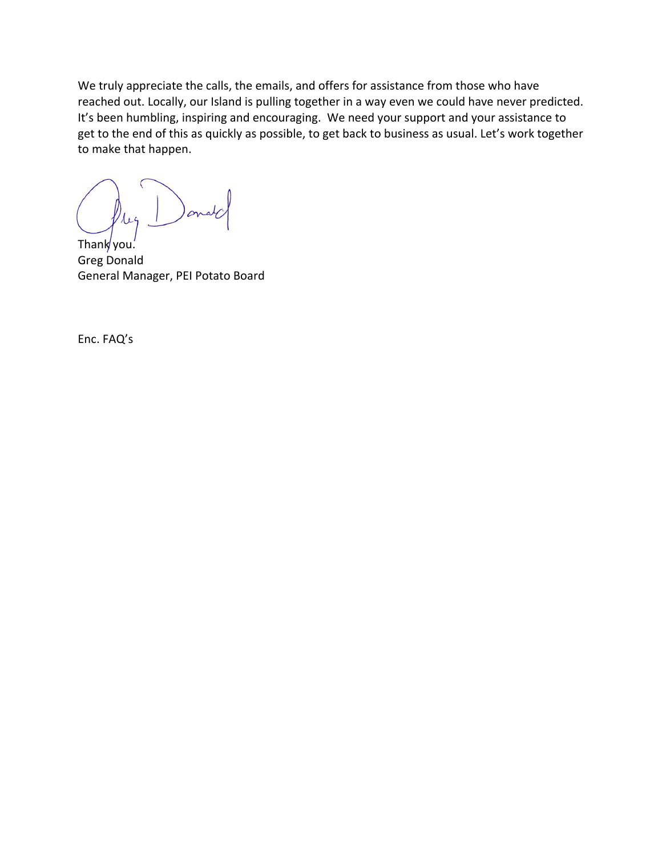We truly appreciate the calls, the emails, and offers for assistance from those who have reached out. Locally, our Island is pulling together in a way even we could have never predicted. It's been humbling, inspiring and encouraging. We need your support and your assistance to get to the end of this as quickly as possible, to get back to business as usual. Let's work together to make that happen.

 $114$ 

Thank you. Greg Donald General Manager, PEI Potato Board

Enc. FAQ's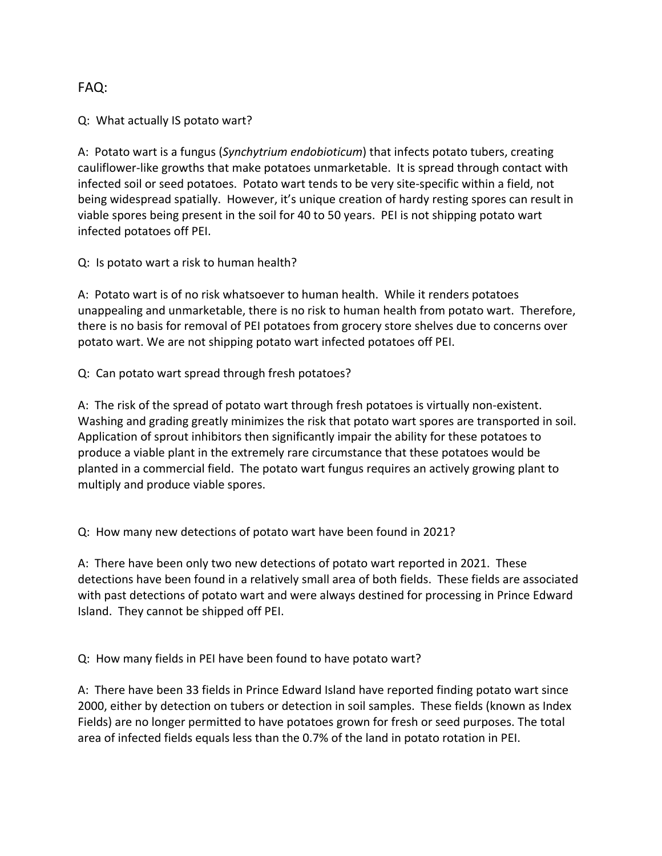## FAQ:

Q: What actually IS potato wart?

A: Potato wart is a fungus (*Synchytrium endobioticum*) that infects potato tubers, creating cauliflower‐like growths that make potatoes unmarketable. It is spread through contact with infected soil or seed potatoes. Potato wart tends to be very site‐specific within a field, not being widespread spatially. However, it's unique creation of hardy resting spores can result in viable spores being present in the soil for 40 to 50 years. PEI is not shipping potato wart infected potatoes off PEI.

Q: Is potato wart a risk to human health?

A: Potato wart is of no risk whatsoever to human health. While it renders potatoes unappealing and unmarketable, there is no risk to human health from potato wart. Therefore, there is no basis for removal of PEI potatoes from grocery store shelves due to concerns over potato wart. We are not shipping potato wart infected potatoes off PEI.

Q: Can potato wart spread through fresh potatoes?

A: The risk of the spread of potato wart through fresh potatoes is virtually non‐existent. Washing and grading greatly minimizes the risk that potato wart spores are transported in soil. Application of sprout inhibitors then significantly impair the ability for these potatoes to produce a viable plant in the extremely rare circumstance that these potatoes would be planted in a commercial field. The potato wart fungus requires an actively growing plant to multiply and produce viable spores.

Q: How many new detections of potato wart have been found in 2021?

A: There have been only two new detections of potato wart reported in 2021. These detections have been found in a relatively small area of both fields. These fields are associated with past detections of potato wart and were always destined for processing in Prince Edward Island. They cannot be shipped off PEI.

Q: How many fields in PEI have been found to have potato wart?

A: There have been 33 fields in Prince Edward Island have reported finding potato wart since 2000, either by detection on tubers or detection in soil samples. These fields (known as Index Fields) are no longer permitted to have potatoes grown for fresh or seed purposes. The total area of infected fields equals less than the 0.7% of the land in potato rotation in PEI.